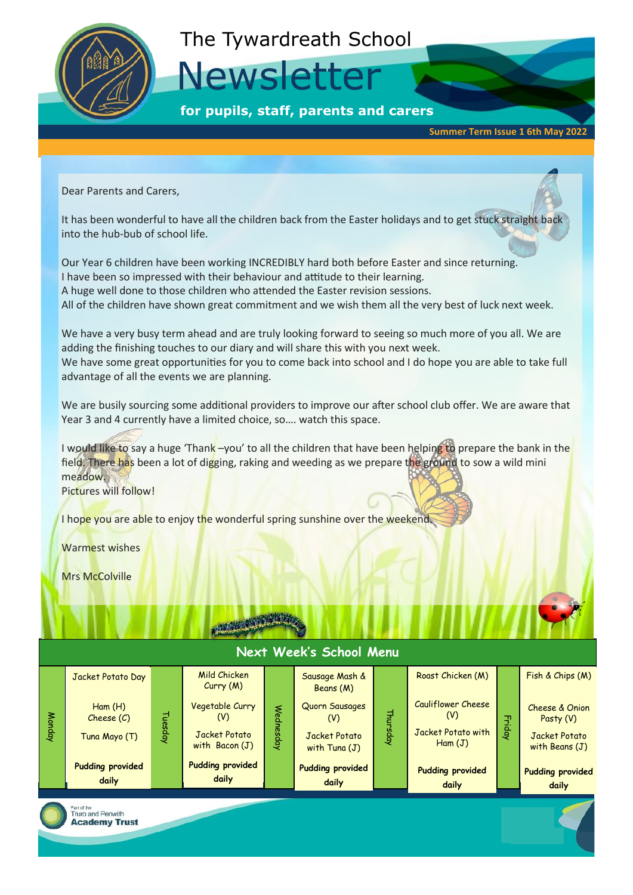

### The Tywardreath School

Newsletter

**for pupils, staff, parents and carers**

**Summer Term Issue 1 6th May 2022**

Dear Parents and Carers,

It has been wonderful to have all the children back from the Easter holidays and to get stuck straight back into the hub-bub of school life.

Our Year 6 children have been working INCREDIBLY hard both before Easter and since returning. I have been so impressed with their behaviour and attitude to their learning. A huge well done to those children who attended the Easter revision sessions. All of the children have shown great commitment and we wish them all the very best of luck next week.

We have a very busy term ahead and are truly looking forward to seeing so much more of you all. We are adding the finishing touches to our diary and will share this with you next week. We have some great opportunities for you to come back into school and I do hope you are able to take full advantage of all the events we are planning.

We are busily sourcing some additional providers to improve our after school club offer. We are aware that Year 3 and 4 currently have a limited choice, so…. watch this space.

I would like to say a huge 'Thank -you' to all the children that have been helping to prepare the bank in the field. There has been a lot of digging, raking and weeding as we prepare the ground to sow a wild mini meadow.

Pictures will follow!

I hope you are able to enjoy the wonderful spring sunshine over the weekend.

Warmest wishes

Mrs McColville



#### **Next Week's School Menu** Monday Tuesday **Wednesday Thursday** Friday Jacket Potato Day Ham (H) Cheese (C) Tuna Mayo (T) **Pudding provided daily** Mild Chicken Curry (M) Vegetable Curry (V) Jacket Potato with Bacon (J) **Pudding provided daily** Sausage Mash & Beans (M) Quorn Sausages (V) Jacket Potato with Tuna (J) **Pudding provided daily** Roast Chicken (M) Cauliflower Cheese (V) Jacket Potato with Ham (J) **Pudding provided daily** Fish & Chips (M) Cheese & Onion Pasty (V) Jacket Potato with Beans (J) **Pudding provided daily**

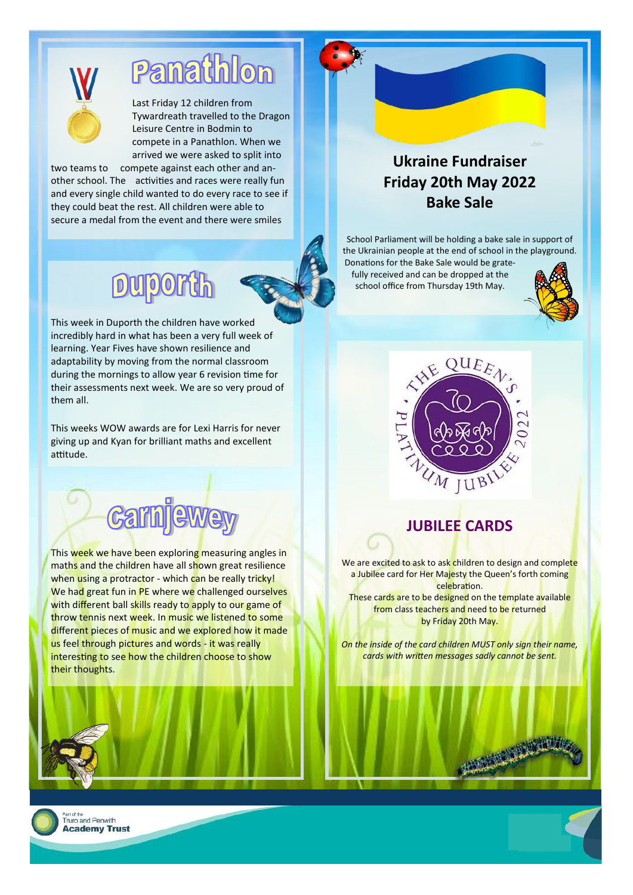

## Panathlon

Last Friday 12 children from Tywardreath travelled to the Dragon Leisure Centre in Bodmin to compete in a Panathlon. When we arrived we were asked to split into

two teams to compete against each other and another school. The activities and races were really fun and every single child wanted to do every race to see if they could beat the rest. All children were able to secure a medal from the event and there were smiles

### **Dulport**

This week in Duporth the children have worked incredibly hard in what has been a very full week of learning. Year Fives have shown resilience and adaptability by moving from the normal classroom during the mornings to allow year 6 revision time for their assessments next week. We are so very proud of them all.

This weeks WOW awards are for Lexi Harris for never giving up and Kyan for brilliant maths and excellent attitude.



This week we have been exploring measuring angles in maths and the children have all shown great resilience when using a protractor - which can be really tricky! We had great fun in PE where we challenged ourselves with different ball skills ready to apply to our game of throw tennis next week. In music we listened to some different pieces of music and we explored how it made us feel through pictures and words - it was really interesting to see how the children choose to show their thoughts.

#### **Ukraine Fundraiser Friday 20th May 2022 Bake Sale**

School Parliament will be holding a bake sale in support of the Ukrainian people at the end of school in the playground.

Donations for the Bake Sale would be gratefully received and can be dropped at the school office from Thursday 19th May.





#### **JUBILEE CARDS**

We are excited to ask to ask children to design and complete a Jubilee card for Her Majesty the Queen's forth coming celebration.

These cards are to be designed on the template available from class teachers and need to be returned by Friday 20th May.

*On the inside of the card children MUST only sign their name, cards with written messages sadly cannot be sent.*

**BEARING** 

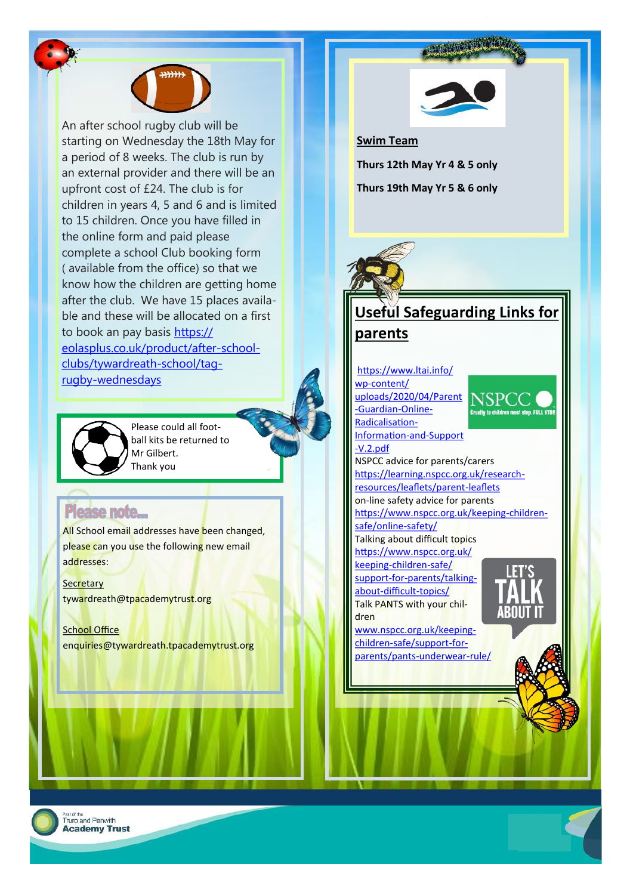

An after school rugby club will be starting on Wednesday the 18th May for a period of 8 weeks. The club is run by an external provider and there will be an upfront cost of £24. The club is for children in years 4, 5 and 6 and is limited to 15 children. Once you have filled in the online form and paid please complete a school Club booking form ( available from the office) so that we know how the children are getting home after the club. We have 15 places available and these will be allocated on a first to book an pay basis [https://](https://eolasplus.co.uk/product/after-school-clubs/tywardreath-school/tag-rugby-wednesdays) [eolasplus.co.uk/product/after-school](https://eolasplus.co.uk/product/after-school-clubs/tywardreath-school/tag-rugby-wednesdays)[clubs/tywardreath-school/tag](https://eolasplus.co.uk/product/after-school-clubs/tywardreath-school/tag-rugby-wednesdays)[rugby-wednesdays](https://eolasplus.co.uk/product/after-school-clubs/tywardreath-school/tag-rugby-wednesdays)

> Please could all football kits be returned to Mr Gilbert. Thank you

#### Please note...

All School email addresses have been changed, please can you use the following new email addresses:

**Secretary** tywardreath@tpacademytrust.org

School Office enquiries@tywardreath.tpacademytrust.org



**Swim Team Thurs 12th May Yr 4 & 5 only Thurs 19th May Yr 5 & 6 only**



#### **Useful Safeguarding Links for parents**

#### [https://www.ltai.info/](https://www.ltai.info/wp-content/uploads/2020/04/Parent-Guardian-Online-Radicalisation-Information-and-Support-V.2.pdf)

wp-[content/](https://www.ltai.info/wp-content/uploads/2020/04/Parent-Guardian-Online-Radicalisation-Information-and-Support-V.2.pdf) [uploads/2020/04/Parent](https://www.ltai.info/wp-content/uploads/2020/04/Parent-Guardian-Online-Radicalisation-Information-and-Support-V.2.pdf) -[Guardian](https://www.ltai.info/wp-content/uploads/2020/04/Parent-Guardian-Online-Radicalisation-Information-and-Support-V.2.pdf)-Online-[Radicalisation](https://www.ltai.info/wp-content/uploads/2020/04/Parent-Guardian-Online-Radicalisation-Information-and-Support-V.2.pdf)-



[Information](https://www.ltai.info/wp-content/uploads/2020/04/Parent-Guardian-Online-Radicalisation-Information-and-Support-V.2.pdf)-and-Support -[V.2.pdf](https://www.ltai.info/wp-content/uploads/2020/04/Parent-Guardian-Online-Radicalisation-Information-and-Support-V.2.pdf) NSPCC advice for parents/carers [https://learning.nspcc.org.uk/research](https://learning.nspcc.org.uk/research-resources/leaflets/parent-leaflets)[resources/leaflets/parent](https://learning.nspcc.org.uk/research-resources/leaflets/parent-leaflets)-leaflets on-line safety advice for parents [https://www.nspcc.org.uk/keeping](https://www.nspcc.org.uk/keeping-children-safe/online-safety/)-children[safe/online](https://www.nspcc.org.uk/keeping-children-safe/online-safety/)-safety/

Talking about difficult topics [https://www.nspcc.org.uk/](https://www.nspcc.org.uk/keeping-children-safe/support-for-parents/talking-about-difficult-topics/)

keeping-[children](https://www.nspcc.org.uk/keeping-children-safe/support-for-parents/talking-about-difficult-topics/)-safe/ support-for-[parents/talking](https://www.nspcc.org.uk/keeping-children-safe/support-for-parents/talking-about-difficult-topics/)about-[difficult](https://www.nspcc.org.uk/keeping-children-safe/support-for-parents/talking-about-difficult-topics/)-topics/ Talk PANTS with your chil-

dren [www.nspcc.org.uk/keeping](http://www.nspcc.org.uk/keeping-children-safe/support-for-parents/pants-underwear-rule/)-

children-[safe/support](http://www.nspcc.org.uk/keeping-children-safe/support-for-parents/pants-underwear-rule/)-for[parents/pants](http://www.nspcc.org.uk/keeping-children-safe/support-for-parents/pants-underwear-rule/)-underwear-rule/